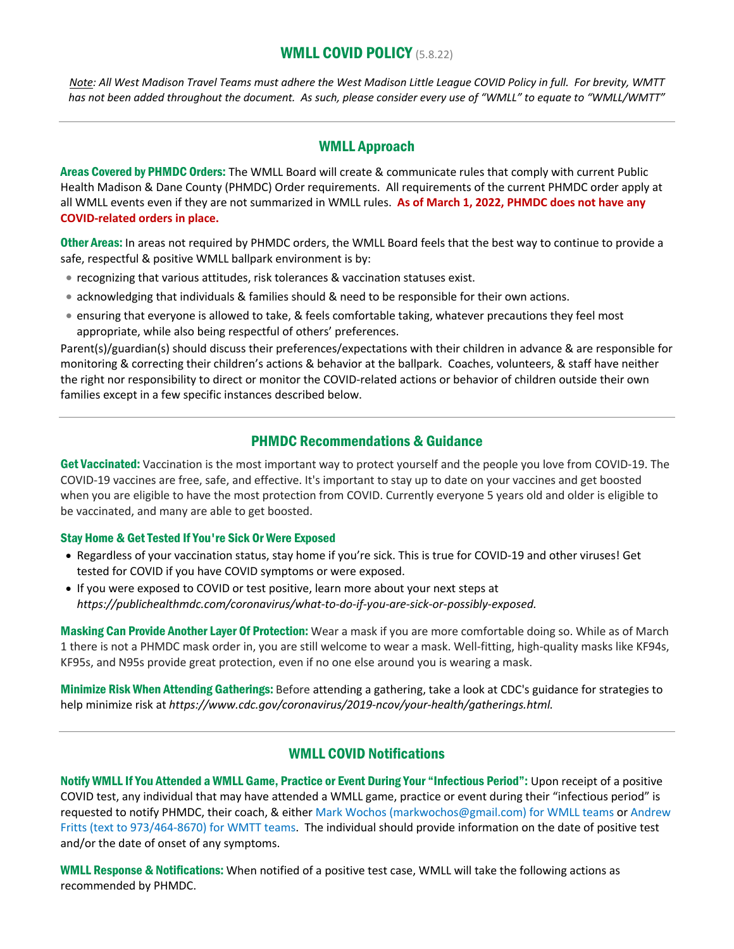## WMLL COVID POLICY (5.8.22)

*Note: All West Madison Travel Teams must adhere the West Madison Little League COVID Policy in full. For brevity, WMTT has not been added throughout the document. As such, please consider every use of "WMLL" to equate to "WMLL/WMTT"*

## WMLL Approach

Areas Covered by PHMDC Orders: The WMLL Board will create & communicate rules that comply with current Public Health Madison & Dane County (PHMDC) Order requirements. All requirements of the current PHMDC order apply at all WMLL events even if they are not summarized in WMLL rules. **As of March 1, 2022, PHMDC does not have any COVID-related orders in place.**

Other Areas: In areas not required by PHMDC orders, the WMLL Board feels that the best way to continue to provide a safe, respectful & positive WMLL ballpark environment is by:

- recognizing that various attitudes, risk tolerances & vaccination statuses exist.
- acknowledging that individuals & families should & need to be responsible for their own actions.
- ensuring that everyone is allowed to take, & feels comfortable taking, whatever precautions they feel most appropriate, while also being respectful of others' preferences.

Parent(s)/guardian(s) should discuss their preferences/expectations with their children in advance & are responsible for monitoring & correcting their children's actions & behavior at the ballpark. Coaches, volunteers, & staff have neither the right nor responsibility to direct or monitor the COVID-related actions or behavior of children outside their own families except in a few specific instances described below.

## PHMDC Recommendations & Guidance

Get Vaccinated: Vaccination is the most important way to protect yourself and the people you love from COVID-19. The COVID-19 vaccines are free, safe, and effective. It's important to stay up to date on your vaccines and get boosted when you are eligible to have the most protection from COVID. Currently everyone 5 years old and older is eligible to be vaccinated, and many are able to get boosted.

#### Stay Home & Get Tested If You're Sick Or Were Exposed

- Regardless of your vaccination status, stay home if you're sick. This is true for COVID-19 and other viruses! Get tested for COVID if you have COVID symptoms or were exposed.
- If you were exposed to COVID or test positive, learn more about your next steps at *https://publichealthmdc.com/coronavirus/what-to-do-if-you-are-sick-or-possibly-exposed.*

Masking Can Provide Another Layer Of Protection: Wear a mask if you are more comfortable doing so. While as of March 1 there is not a PHMDC mask order in, you are still welcome to wear a mask. Well-fitting, high-quality masks like KF94s, KF95s, and N95s provide great protection, even if no one else around you is wearing a mask.

Minimize Risk When Attending Gatherings: Before attending a gathering, take a look at CDC's guidance for strategies to help minimize risk at *https://www.cdc.gov/coronavirus/2019-ncov/your-health/gatherings.html.*

## WMLL COVID Notifications

Notify WMLL If You Attended a WMLL Game, Practice or Event During Your "Infectious Period": Upon receipt of a positive COVID test, any individual that may have attended a WMLL game, practice or event during their "infectious period" is requested to notify PHMDC, their coach, & either Mark Wochos (markwochos@gmail.com) for WMLL teams or Andrew Fritts (text to 973/464-8670) for WMTT teams. The individual should provide information on the date of positive test and/or the date of onset of any symptoms.

WMLL Response & Notifications: When notified of a positive test case, WMLL will take the following actions as recommended by PHMDC.